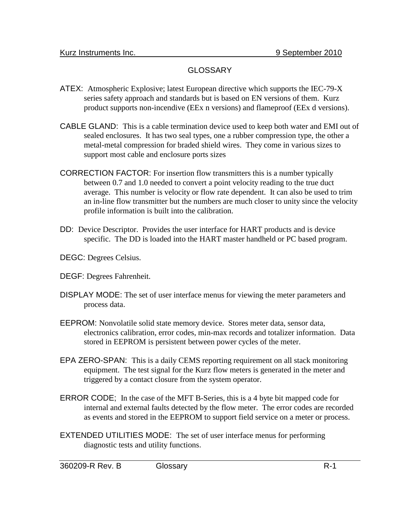## GLOSSARY

- ATEX: Atmospheric Explosive; latest European directive which supports the IEC-79-X series safety approach and standards but is based on EN versions of them. Kurz product supports non-incendive (EEx n versions) and flameproof (EEx d versions).
- CABLE GLAND: This is a cable termination device used to keep both water and EMI out of sealed enclosures. It has two seal types, one a rubber compression type, the other a metal-metal compression for braded shield wires. They come in various sizes to support most cable and enclosure ports sizes
- CORRECTION FACTOR: For insertion flow transmitters this is a number typically between 0.7 and 1.0 needed to convert a point velocity reading to the true duct average. This number is velocity or flow rate dependent. It can also be used to trim an in-line flow transmitter but the numbers are much closer to unity since the velocity profile information is built into the calibration.
- DD: Device Descriptor. Provides the user interface for HART products and is device specific. The DD is loaded into the HART master handheld or PC based program.
- DEGC: Degrees Celsius.
- DEGF: Degrees Fahrenheit.
- DISPLAY MODE: The set of user interface menus for viewing the meter parameters and process data.
- EEPROM: Nonvolatile solid state memory device. Stores meter data, sensor data, electronics calibration, error codes, min-max records and totalizer information. Data stored in EEPROM is persistent between power cycles of the meter.
- EPA ZERO-SPAN: This is a daily CEMS reporting requirement on all stack monitoring equipment. The test signal for the Kurz flow meters is generated in the meter and triggered by a contact closure from the system operator.
- ERROR CODE; In the case of the MFT B-Series, this is a 4 byte bit mapped code for internal and external faults detected by the flow meter. The error codes are recorded as events and stored in the EEPROM to support field service on a meter or process.
- EXTENDED UTILITIES MODE: The set of user interface menus for performing diagnostic tests and utility functions.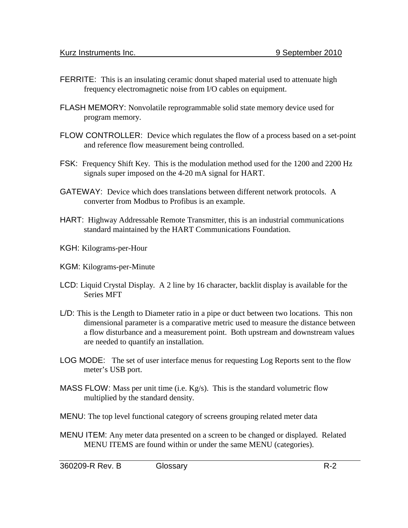- FERRITE: This is an insulating ceramic donut shaped material used to attenuate high frequency electromagnetic noise from I/O cables on equipment.
- FLASH MEMORY: Nonvolatile reprogrammable solid state memory device used for program memory.
- FLOW CONTROLLER: Device which regulates the flow of a process based on a set-point and reference flow measurement being controlled.
- FSK: Frequency Shift Key. This is the modulation method used for the 1200 and 2200 Hz signals super imposed on the 4-20 mA signal for HART.
- GATEWAY: Device which does translations between different network protocols. A converter from Modbus to Profibus is an example.
- HART: Highway Addressable Remote Transmitter, this is an industrial communications standard maintained by the HART Communications Foundation.
- KGH: Kilograms-per-Hour
- KGM: Kilograms-per-Minute
- LCD: Liquid Crystal Display. A 2 line by 16 character, backlit display is available for the Series MFT
- L/D: This is the Length to Diameter ratio in a pipe or duct between two locations. This non dimensional parameter is a comparative metric used to measure the distance between a flow disturbance and a measurement point. Both upstream and downstream values are needed to quantify an installation.
- LOG MODE: The set of user interface menus for requesting Log Reports sent to the flow meter's USB port.
- MASS FLOW: Mass per unit time (i.e. Kg/s). This is the standard volumetric flow multiplied by the standard density.
- MENU: The top level functional category of screens grouping related meter data
- MENU ITEM: Any meter data presented on a screen to be changed or displayed. Related MENU ITEMS are found within or under the same MENU (categories).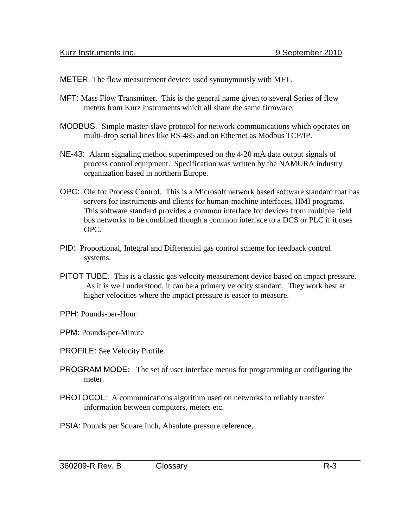METER: The flow measurement device; used synonymously with MFT.

- MFT: Mass Flow Transmitter. This is the general name given to several Series of flow meters from Kurz Instruments which all share the same firmware.
- MODBUS: Simple master-slave protocol for network communications which operates on multi-drop serial lines like RS-485 and on Ethernet as Modbus TCP/IP.
- NE-43: Alarm signaling method superimposed on the 4-20 mA data output signals of process control equipment. Specification was written by the NAMURA industry organization based in northern Europe.
- OPC: Ole for Process Control. This is a Microsoft network based software standard that has servers for instruments and clients for human-machine interfaces, HMI programs. This software standard provides a common interface for devices from multiple field bus networks to be combined though a common interface to a DCS or PLC if it uses OPC.
- PID: Proportional, Integral and Differential gas control scheme for feedback control systems.
- PITOT TUBE: This is a classic gas velocity measurement device based on impact pressure. As it is well understood, it can be a primary velocity standard. They work best at higher velocities where the impact pressure is easier to measure.
- PPH: Pounds-per-Hour
- PPM: Pounds-per-Minute
- PROFILE: See Velocity Profile.
- PROGRAM MODE: The set of user interface menus for programming or configuring the meter.
- PROTOCOL: A communications algorithm used on networks to reliably transfer information between computers, meters etc.
- PSIA: Pounds per Square Inch, Absolute pressure reference.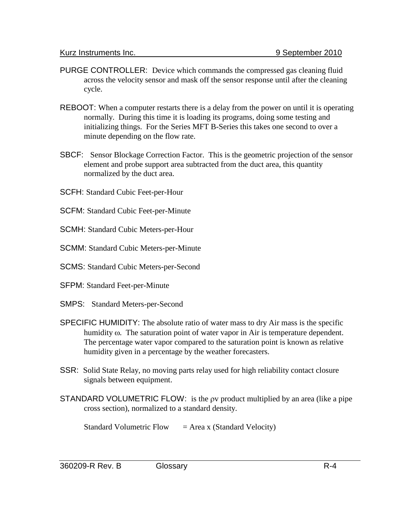- PURGE CONTROLLER: Device which commands the compressed gas cleaning fluid across the velocity sensor and mask off the sensor response until after the cleaning cycle.
- REBOOT: When a computer restarts there is a delay from the power on until it is operating normally. During this time it is loading its programs, doing some testing and initializing things. For the Series MFT B-Series this takes one second to over a minute depending on the flow rate.
- SBCF: Sensor Blockage Correction Factor. This is the geometric projection of the sensor element and probe support area subtracted from the duct area, this quantity normalized by the duct area.
- SCFH: Standard Cubic Feet-per-Hour
- SCFM: Standard Cubic Feet-per-Minute
- SCMH: Standard Cubic Meters-per-Hour
- SCMM: Standard Cubic Meters-per-Minute
- SCMS: Standard Cubic Meters-per-Second
- SFPM: Standard Feet-per-Minute
- SMPS: Standard Meters-per-Second
- SPECIFIC HUMIDITY: The absolute ratio of water mass to dry Air mass is the specific humidity ω. The saturation point of water vapor in Air is temperature dependent. The percentage water vapor compared to the saturation point is known as relative humidity given in a percentage by the weather forecasters.
- SSR: Solid State Relay, no moving parts relay used for high reliability contact closure signals between equipment.
- STANDARD VOLUMETRIC FLOW: is the ρv product multiplied by an area (like a pipe cross section), normalized to a standard density.

Standard Volumetric Flow  $=$  Area x (Standard Velocity)